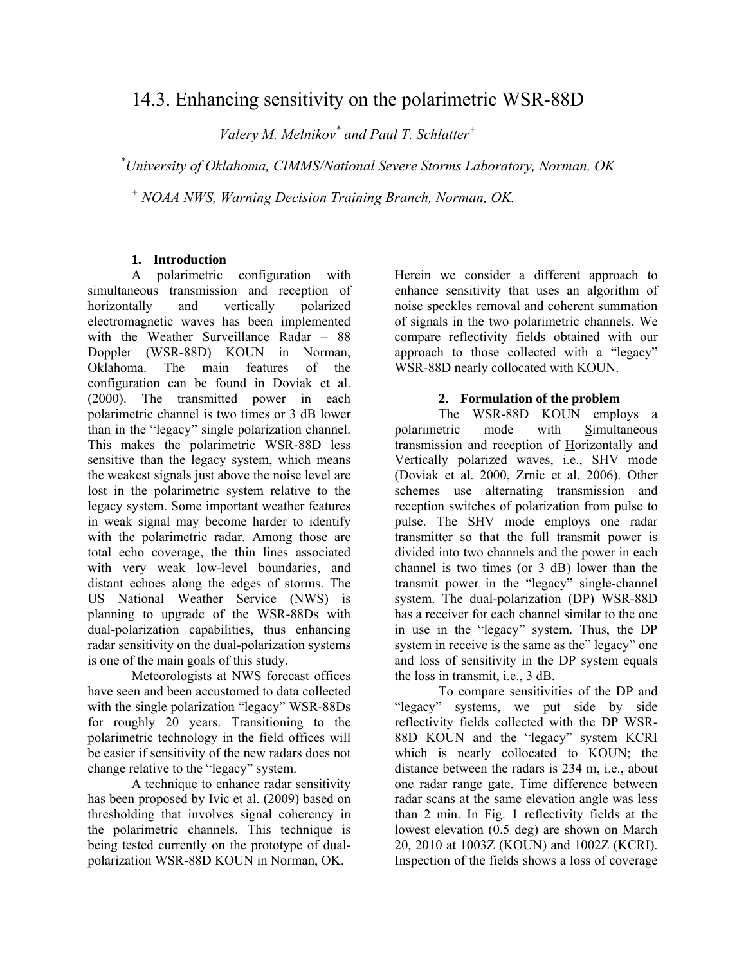# 14.3. Enhancing sensitivity on the polarimetric WSR-88D

*Valery M. Melnikov\* and Paul T. Schlatter+*

 *\* University of Oklahoma, CIMMS/National Severe Storms Laboratory, Norman, OK* 

*+ NOAA NWS, Warning Decision Training Branch, Norman, OK.* 

## **1. Introduction**

A polarimetric configuration with simultaneous transmission and reception of horizontally and vertically polarized electromagnetic waves has been implemented with the Weather Surveillance Radar – 88 Doppler (WSR-88D) KOUN in Norman, Oklahoma. The main features of the configuration can be found in Doviak et al. (2000). The transmitted power in each polarimetric channel is two times or 3 dB lower than in the "legacy" single polarization channel. This makes the polarimetric WSR-88D less sensitive than the legacy system, which means the weakest signals just above the noise level are lost in the polarimetric system relative to the legacy system. Some important weather features in weak signal may become harder to identify with the polarimetric radar. Among those are total echo coverage, the thin lines associated with very weak low-level boundaries, and distant echoes along the edges of storms. The US National Weather Service (NWS) is planning to upgrade of the WSR-88Ds with dual-polarization capabilities, thus enhancing radar sensitivity on the dual-polarization systems is one of the main goals of this study.

Meteorologists at NWS forecast offices have seen and been accustomed to data collected with the single polarization "legacy" WSR-88Ds for roughly 20 years. Transitioning to the polarimetric technology in the field offices will be easier if sensitivity of the new radars does not change relative to the "legacy" system.

A technique to enhance radar sensitivity has been proposed by Ivic et al. (2009) based on thresholding that involves signal coherency in the polarimetric channels. This technique is being tested currently on the prototype of dualpolarization WSR-88D KOUN in Norman, OK.

Herein we consider a different approach to enhance sensitivity that uses an algorithm of noise speckles removal and coherent summation of signals in the two polarimetric channels. We compare reflectivity fields obtained with our approach to those collected with a "legacy" WSR-88D nearly collocated with KOUN.

# **2. Formulation of the problem**

The WSR-88D KOUN employs a polarimetric mode with Simultaneous transmission and reception of Horizontally and Vertically polarized waves, i.e., SHV mode (Doviak et al. 2000, Zrnic et al. 2006). Other schemes use alternating transmission and reception switches of polarization from pulse to pulse. The SHV mode employs one radar transmitter so that the full transmit power is divided into two channels and the power in each channel is two times (or 3 dB) lower than the transmit power in the "legacy" single-channel system. The dual-polarization (DP) WSR-88D has a receiver for each channel similar to the one in use in the "legacy" system. Thus, the DP system in receive is the same as the" legacy" one and loss of sensitivity in the DP system equals the loss in transmit, i.e., 3 dB.

To compare sensitivities of the DP and "legacy" systems, we put side by side reflectivity fields collected with the DP WSR-88D KOUN and the "legacy" system KCRI which is nearly collocated to KOUN; the distance between the radars is 234 m, i.e., about one radar range gate. Time difference between radar scans at the same elevation angle was less than 2 min. In Fig. 1 reflectivity fields at the lowest elevation (0.5 deg) are shown on March 20, 2010 at 1003Z (KOUN) and 1002Z (KCRI). Inspection of the fields shows a loss of coverage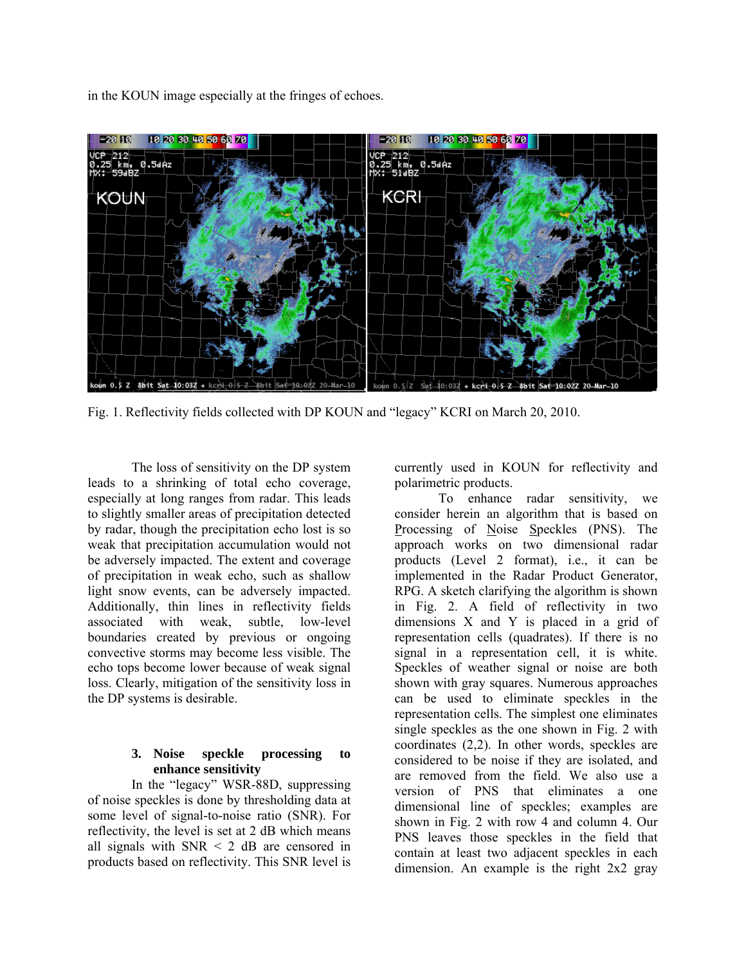in the KOUN image especially at the fringes of echoes.



Fig. 1. Reflectivity fields collected with DP KOUN and "legacy" KCRI on March 20, 2010.

The loss of sensitivity on the DP system leads to a shrinking of total echo coverage, especially at long ranges from radar. This leads to slightly smaller areas of precipitation detected by radar, though the precipitation echo lost is so weak that precipitation accumulation would not be adversely impacted. The extent and coverage of precipitation in weak echo, such as shallow light snow events, can be adversely impacted. Additionally, thin lines in reflectivity fields associated with weak, subtle, low-level boundaries created by previous or ongoing convective storms may become less visible. The echo tops become lower because of weak signal loss. Clearly, mitigation of the sensitivity loss in the DP systems is desirable.

### **3. Noise speckle processing to enhance sensitivity**

In the "legacy" WSR-88D, suppressing of noise speckles is done by thresholding data at some level of signal-to-noise ratio (SNR). For reflectivity, the level is set at 2 dB which means all signals with  $SNR < 2$  dB are censored in products based on reflectivity. This SNR level is

currently used in KOUN for reflectivity and polarimetric products.

To enhance radar sensitivity, we consider herein an algorithm that is based on Processing of Noise Speckles (PNS). The approach works on two dimensional radar products (Level 2 format), i.e., it can be implemented in the Radar Product Generator, RPG. A sketch clarifying the algorithm is shown in Fig. 2. A field of reflectivity in two dimensions X and Y is placed in a grid of representation cells (quadrates). If there is no signal in a representation cell, it is white. Speckles of weather signal or noise are both shown with gray squares. Numerous approaches can be used to eliminate speckles in the representation cells. The simplest one eliminates single speckles as the one shown in Fig. 2 with coordinates (2,2). In other words, speckles are considered to be noise if they are isolated, and are removed from the field. We also use a version of PNS that eliminates a one dimensional line of speckles; examples are shown in Fig. 2 with row 4 and column 4. Our PNS leaves those speckles in the field that contain at least two adjacent speckles in each dimension. An example is the right 2x2 gray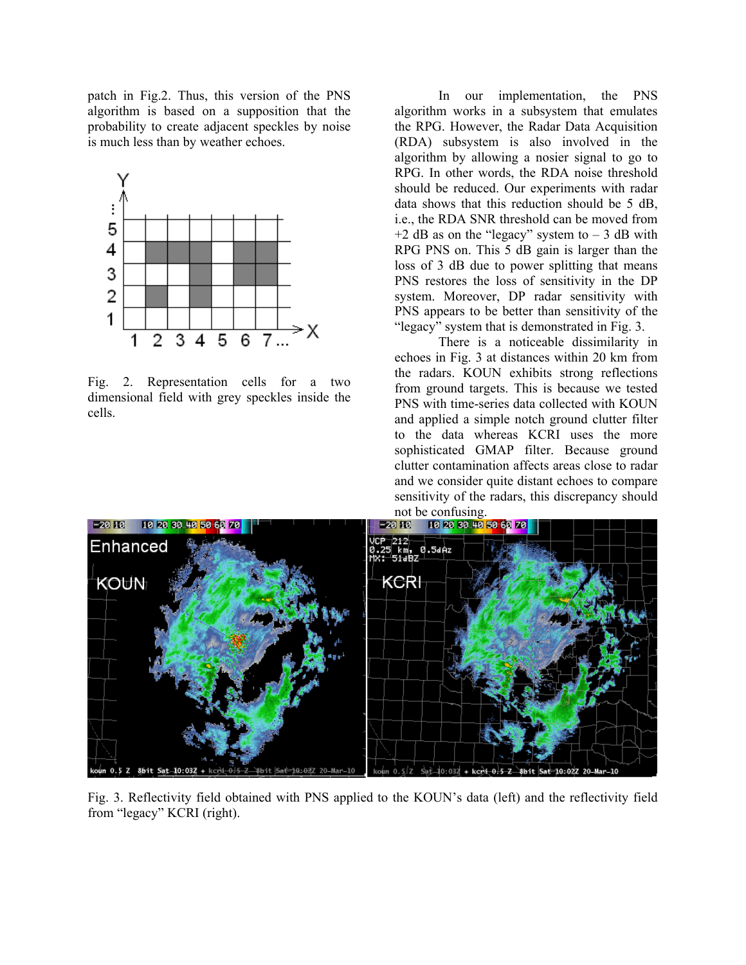patch in Fig.2. Thus, this version of the PNS algorithm is based on a supposition that the probability to create adjacent speckles by noise is much less than by weather echoes.



Fig. 2. Representation cells for a two dimensional field with grey speckles inside the cells.

In our implementation, the PNS algorithm works in a subsystem that emulates the RPG. However, the Radar Data Acquisition (RDA) subsystem is also involved in the algorithm by allowing a nosier signal to go to RPG. In other words, the RDA noise threshold should be reduced. Our experiments with radar data shows that this reduction should be 5 dB, i.e., the RDA SNR threshold can be moved from  $+2$  dB as on the "legacy" system to  $-3$  dB with RPG PNS on. This 5 dB gain is larger than the loss of 3 dB due to power splitting that means PNS restores the loss of sensitivity in the DP system. Moreover, DP radar sensitivity with PNS appears to be better than sensitivity of the "legacy" system that is demonstrated in Fig. 3.

There is a noticeable dissimilarity in echoes in Fig. 3 at distances within 20 km from the radars. KOUN exhibits strong reflections from ground targets. This is because we tested PNS with time-series data collected with KOUN and applied a simple notch ground clutter filter to the data whereas KCRI uses the more sophisticated GMAP filter. Because ground clutter contamination affects areas close to radar and we consider quite distant echoes to compare sensitivity of the radars, this discrepancy should



Fig. 3. Reflectivity field obtained with PNS applied to the KOUN's data (left) and the reflectivity field from "legacy" KCRI (right).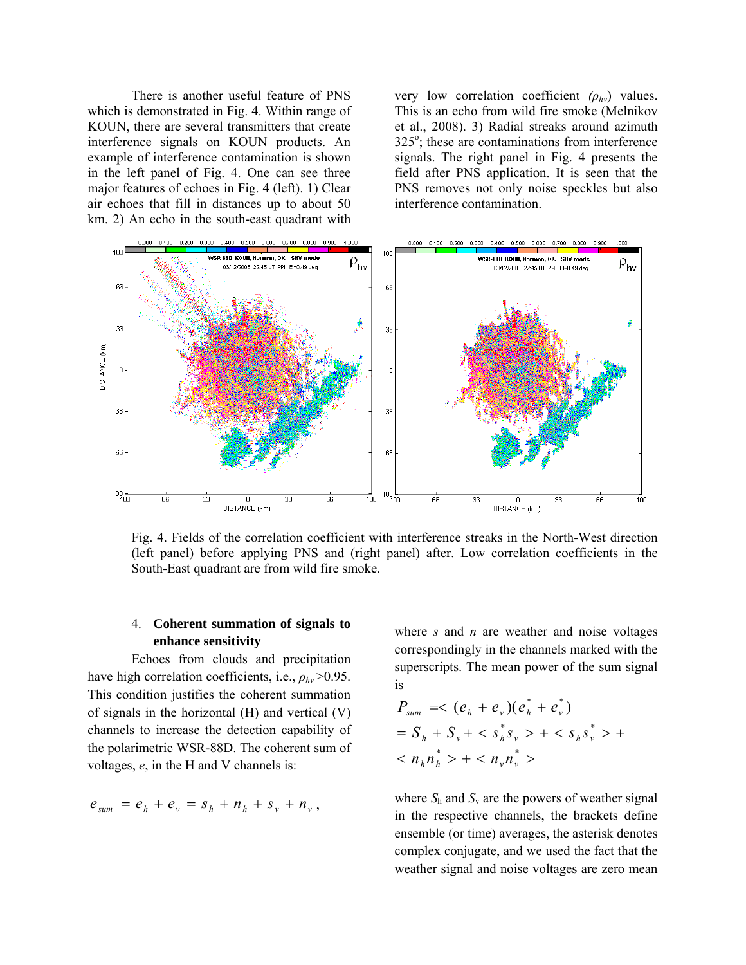There is another useful feature of PNS which is demonstrated in Fig. 4. Within range of KOUN, there are several transmitters that create interference signals on KOUN products. An example of interference contamination is shown in the left panel of Fig. 4. One can see three major features of echoes in Fig. 4 (left). 1) Clear air echoes that fill in distances up to about 50 km. 2) An echo in the south-east quadrant with very low correlation coefficient *(ρhv*) values. This is an echo from wild fire smoke (Melnikov et al., 2008). 3) Radial streaks around azimuth  $325^\circ$ ; these are contaminations from interference signals. The right panel in Fig. 4 presents the field after PNS application. It is seen that the PNS removes not only noise speckles but also interference contamination.



Fig. 4. Fields of the correlation coefficient with interference streaks in the North-West direction (left panel) before applying PNS and (right panel) after. Low correlation coefficients in the South-East quadrant are from wild fire smoke.

## 4. **Coherent summation of signals to enhance sensitivity**

Echoes from clouds and precipitation have high correlation coefficients, i.e., *ρhv* >0.95. This condition justifies the coherent summation of signals in the horizontal (H) and vertical (V) channels to increase the detection capability of the polarimetric WSR-88D. The coherent sum of voltages, *e*, in the H and V channels is:

$$
e_{sum} = e_h + e_v = s_h + n_h + s_v + n_v
$$
,

where *s* and *n* are weather and noise voltages correspondingly in the channels marked with the superscripts. The mean power of the sum signal is

$$
P_{sum} = < (e_h + e_v)(e_h^* + e_v^*)
$$
  
=  $S_h + S_v + < s_h^* s_v > + < s_h s_v^* > +$   
 $< n_h n_h^* > + < n_v n_v^* >$ 

where  $S_h$  and  $S_v$  are the powers of weather signal in the respective channels, the brackets define ensemble (or time) averages, the asterisk denotes complex conjugate, and we used the fact that the weather signal and noise voltages are zero mean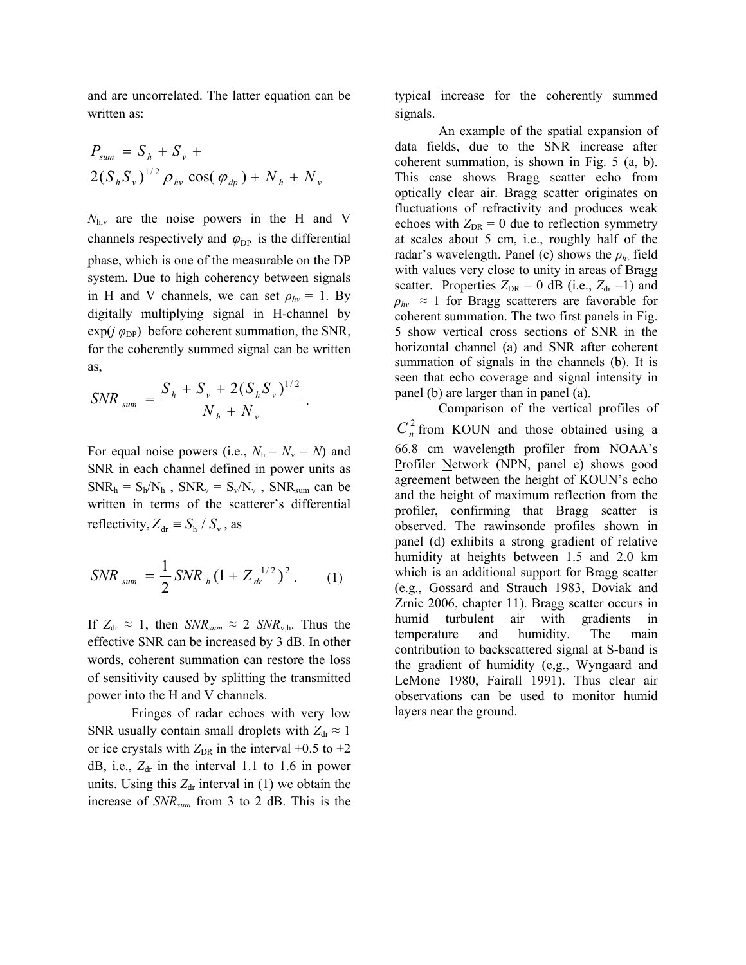and are uncorrelated. The latter equation can be written as:

$$
P_{sum} = S_h + S_v +
$$
  
2( $S_h S_v$ )<sup>1/2</sup>  $\rho_{hv}$  cos( $\varphi_{dp}$ ) +  $N_h$  +  $N_v$ 

 $N_{h,v}$  are the noise powers in the H and V channels respectively and  $\varphi_{DP}$  is the differential phase, which is one of the measurable on the DP system. Due to high coherency between signals in H and V channels, we can set  $\rho_{hv} = 1$ . By digitally multiplying signal in H-channel by  $\exp(j \varphi_{\text{DP}})$  before coherent summation, the SNR, for the coherently summed signal can be written as,

$$
SNR_{sum} = \frac{S_h + S_v + 2(S_h S_v)^{1/2}}{N_h + N_v}.
$$

For equal noise powers (i.e.,  $N_h = N_v = N$ ) and SNR in each channel defined in power units as  $SNR_h = S_h/N_h$ ,  $SNR_v = S_v/N_v$ ,  $SNR_{sum}$  can be written in terms of the scatterer's differential reflectivity,  $Z_{dr} \equiv S_h / S_v$ , as

$$
SNR_{sum} = \frac{1}{2} SNR_h (1 + Z_{dr}^{-1/2})^2.
$$
 (1)

If  $Z_{dr} \approx 1$ , then  $SNR_{sum} \approx 2 SNR_{v,h}$ . Thus the effective SNR can be increased by 3 dB. In other words, coherent summation can restore the loss of sensitivity caused by splitting the transmitted power into the H and V channels.

 Fringes of radar echoes with very low SNR usually contain small droplets with  $Z_{dr} \approx 1$ or ice crystals with  $Z_{\text{DR}}$  in the interval +0.5 to +2 dB, i.e.,  $Z_{dr}$  in the interval 1.1 to 1.6 in power units. Using this  $Z_{dr}$  interval in (1) we obtain the increase of *SNRsum* from 3 to 2 dB. This is the

typical increase for the coherently summed signals.

An example of the spatial expansion of data fields, due to the SNR increase after coherent summation, is shown in Fig. 5 (a, b). This case shows Bragg scatter echo from optically clear air. Bragg scatter originates on fluctuations of refractivity and produces weak echoes with  $Z_{DR} = 0$  due to reflection symmetry at scales about 5 cm, i.e., roughly half of the radar's wavelength. Panel (c) shows the *ρhv* field with values very close to unity in areas of Bragg scatter. Properties  $Z_{DR} = 0$  dB (i.e.,  $Z_{dr} = 1$ ) and  $\rho_{hv} \approx 1$  for Bragg scatterers are favorable for coherent summation. The two first panels in Fig. 5 show vertical cross sections of SNR in the horizontal channel (a) and SNR after coherent summation of signals in the channels (b). It is seen that echo coverage and signal intensity in panel (b) are larger than in panel (a).

Comparison of the vertical profiles of  $C_n^2$  from KOUN and those obtained using a 66.8 cm wavelength profiler from NOAA's Profiler Network (NPN, panel e) shows good agreement between the height of KOUN's echo and the height of maximum reflection from the profiler, confirming that Bragg scatter is observed. The rawinsonde profiles shown in panel (d) exhibits a strong gradient of relative humidity at heights between 1.5 and 2.0 km which is an additional support for Bragg scatter (e.g., Gossard and Strauch 1983, Doviak and Zrnic 2006, chapter 11). Bragg scatter occurs in humid turbulent air with gradients in temperature and humidity. The main contribution to backscattered signal at S-band is the gradient of humidity (e,g., Wyngaard and LeMone 1980, Fairall 1991). Thus clear air observations can be used to monitor humid layers near the ground.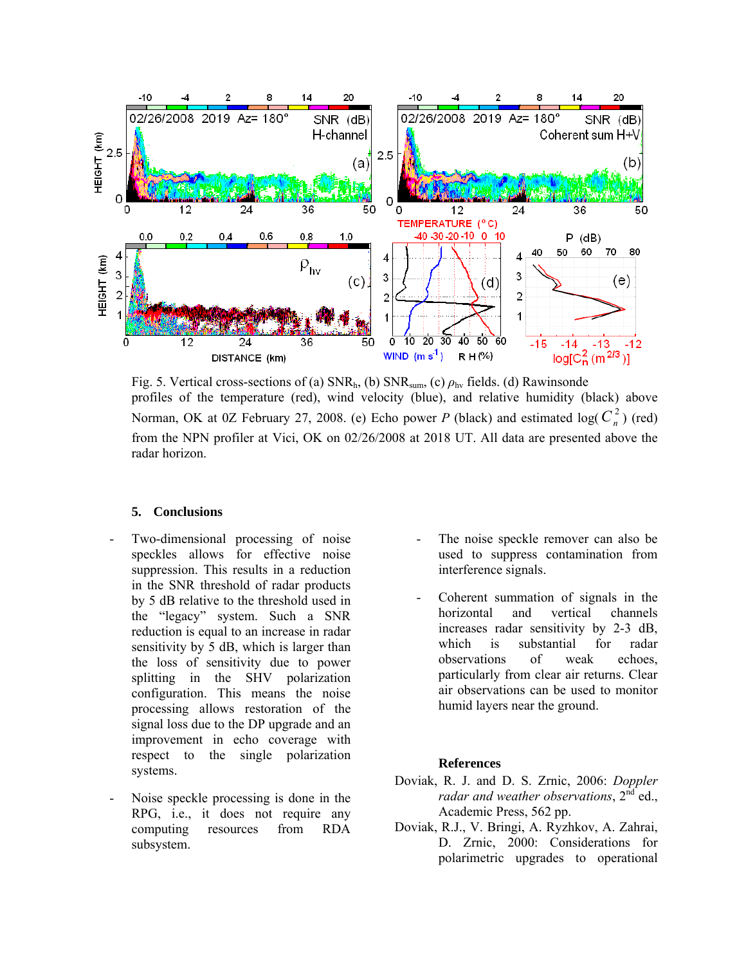

Fig. 5. Vertical cross-sections of (a) SNRh, (b) SNRsum, (c) *ρ*hv fields. (d) Rawinsonde profiles of the temperature (red), wind velocity (blue), and relative humidity (black) above Norman, OK at 0Z February 27, 2008. (e) Echo power *P* (black) and estimated log( $C_n^2$ ) (red) from the NPN profiler at Vici, OK on 02/26/2008 at 2018 UT. All data are presented above the radar horizon.

#### **5. Conclusions**

- Two-dimensional processing of noise speckles allows for effective noise suppression. This results in a reduction in the SNR threshold of radar products by 5 dB relative to the threshold used in the "legacy" system. Such a SNR reduction is equal to an increase in radar sensitivity by 5 dB, which is larger than the loss of sensitivity due to power splitting in the SHV polarization configuration. This means the noise processing allows restoration of the signal loss due to the DP upgrade and an improvement in echo coverage with respect to the single polarization systems.
- Noise speckle processing is done in the RPG, i.e., it does not require any computing resources from RDA subsystem.
- The noise speckle remover can also be used to suppress contamination from interference signals.
- Coherent summation of signals in the horizontal and vertical channels increases radar sensitivity by 2-3 dB, which is substantial for radar observations of weak echoes, particularly from clear air returns. Clear air observations can be used to monitor humid layers near the ground.

#### **References**

- Doviak, R. J. and D. S. Zrnic, 2006: *Doppler radar and weather observations*, 2<sup>nd</sup> ed., Academic Press, 562 pp.
- Doviak, R.J., V. Bringi, A. Ryzhkov, A. Zahrai, D. Zrnic, 2000: Considerations for polarimetric upgrades to operational